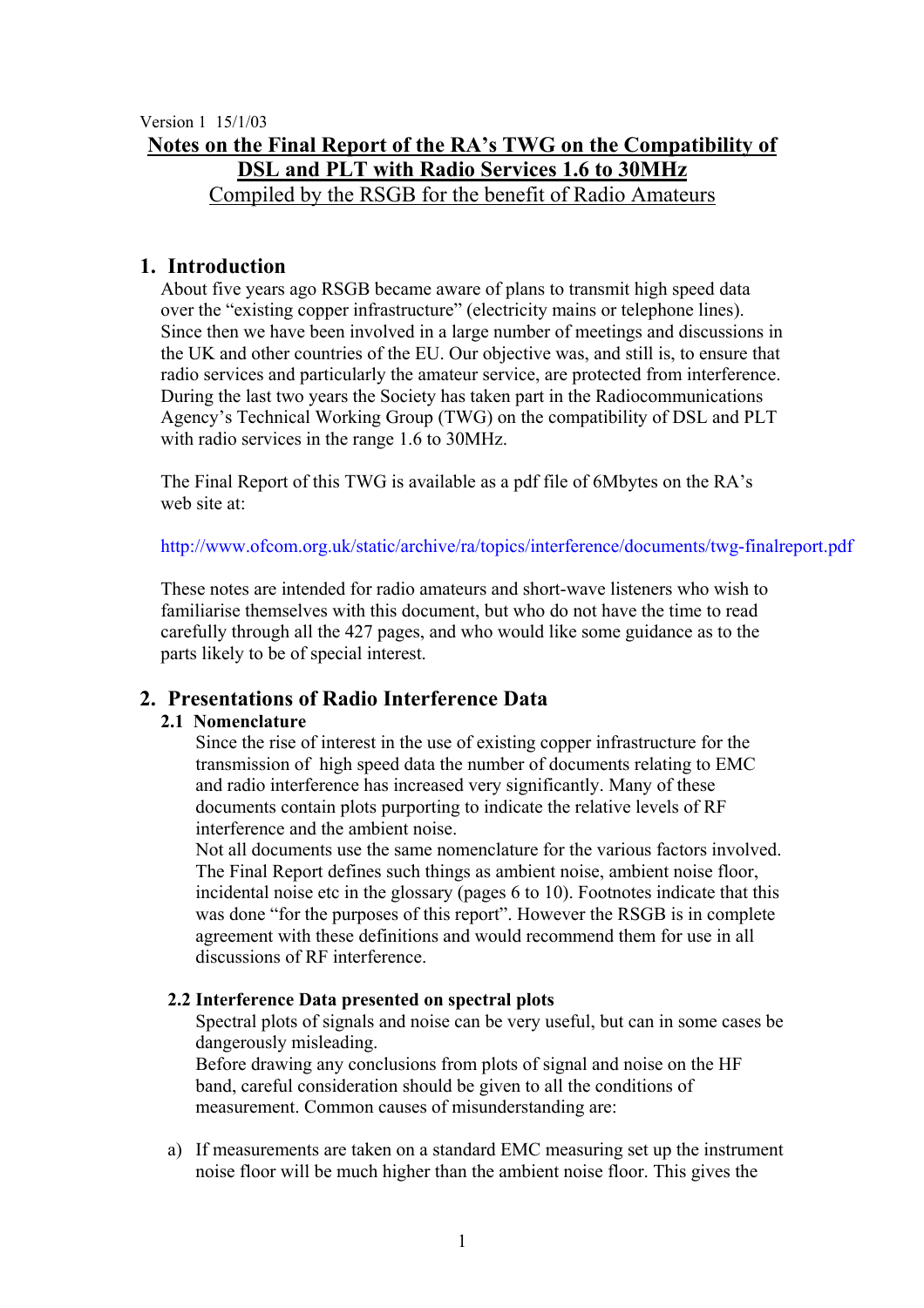Version 1 15/1/03

# **Notes on the Final Report of the RA's TWG on the Compatibility of DSL and PLT with Radio Services 1.6 to 30MHz**

Compiled by the RSGB for the benefit of Radio Amateurs

# **1. Introduction**

About five years ago RSGB became aware of plans to transmit high speed data over the "existing copper infrastructure" (electricity mains or telephone lines). Since then we have been involved in a large number of meetings and discussions in the UK and other countries of the EU. Our objective was, and still is, to ensure that radio services and particularly the amateur service, are protected from interference. During the last two years the Society has taken part in the Radiocommunications Agency's Technical Working Group (TWG) on the compatibility of DSL and PLT with radio services in the range 1.6 to 30MHz.

The Final Report of this TWG is available as a pdf file of 6Mbytes on the RA's web site at:

<http://www.ofcom.org.uk/static/archive/ra/topics/interference/documents/twg-finalreport.pdf>

These notes are intended for radio amateurs and short-wave listeners who wish to familiarise themselves with this document, but who do not have the time to read carefully through all the 427 pages, and who would like some guidance as to the parts likely to be of special interest.

# **2. Presentations of Radio Interference Data**

### **2.1 Nomenclature**

Since the rise of interest in the use of existing copper infrastructure for the transmission of high speed data the number of documents relating to EMC and radio interference has increased very significantly. Many of these documents contain plots purporting to indicate the relative levels of RF interference and the ambient noise.

Not all documents use the same nomenclature for the various factors involved. The Final Report defines such things as ambient noise, ambient noise floor, incidental noise etc in the glossary (pages 6 to 10). Footnotes indicate that this was done "for the purposes of this report". However the RSGB is in complete agreement with these definitions and would recommend them for use in all discussions of RF interference.

### **2.2 Interference Data presented on spectral plots**

Spectral plots of signals and noise can be very useful, but can in some cases be dangerously misleading.

Before drawing any conclusions from plots of signal and noise on the HF band, careful consideration should be given to all the conditions of measurement. Common causes of misunderstanding are:

a) If measurements are taken on a standard EMC measuring set up the instrument noise floor will be much higher than the ambient noise floor. This gives the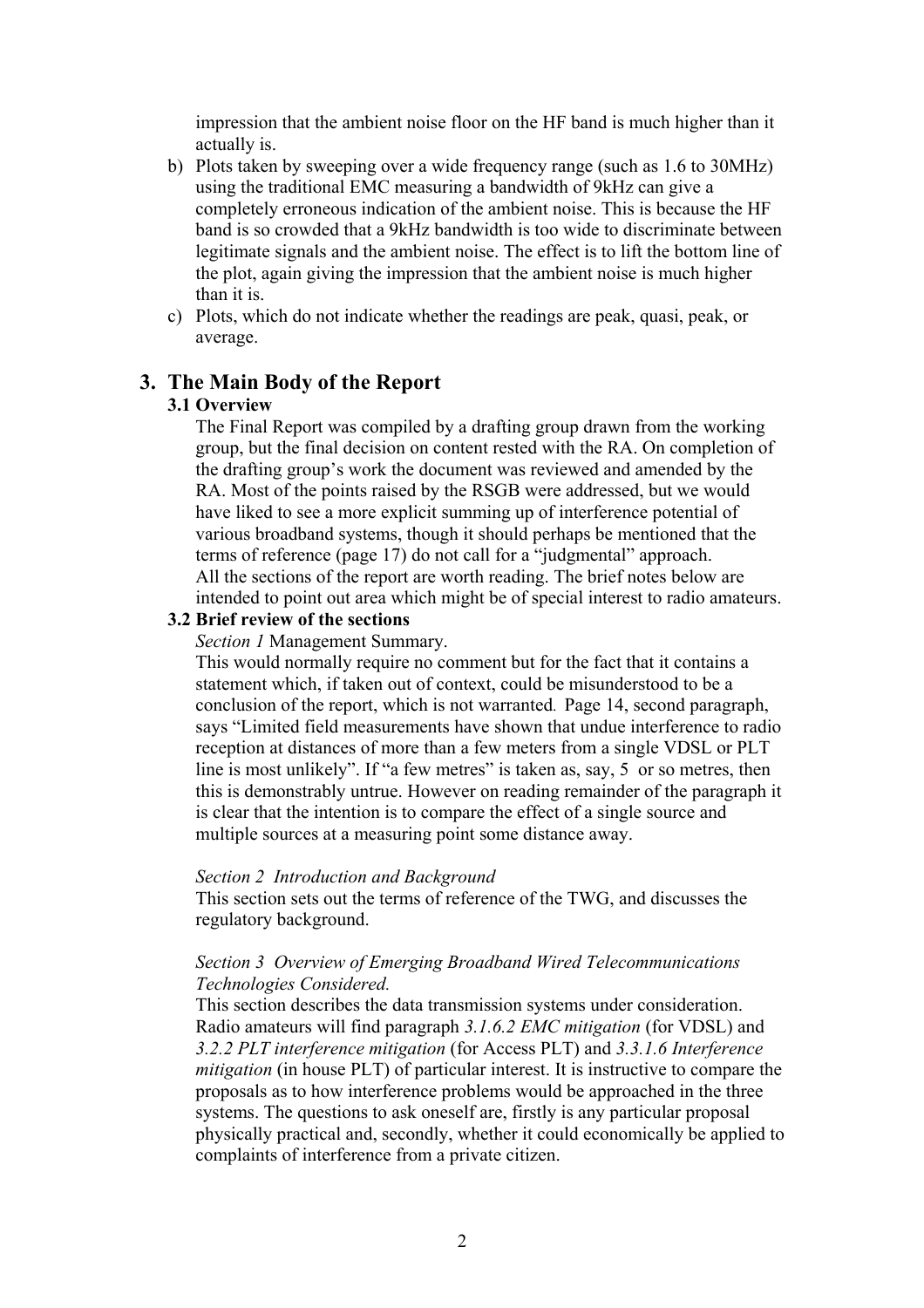impression that the ambient noise floor on the HF band is much higher than it actually is.

- b) Plots taken by sweeping over a wide frequency range (such as 1.6 to 30MHz) using the traditional EMC measuring a bandwidth of 9kHz can give a completely erroneous indication of the ambient noise. This is because the HF band is so crowded that a 9kHz bandwidth is too wide to discriminate between legitimate signals and the ambient noise. The effect is to lift the bottom line of the plot, again giving the impression that the ambient noise is much higher than it is.
- c) Plots, which do not indicate whether the readings are peak, quasi, peak, or average.

### **3. The Main Body of the Report**

#### **3.1 Overview**

The Final Report was compiled by a drafting group drawn from the working group, but the final decision on content rested with the RA. On completion of the drafting group's work the document was reviewed and amended by the RA. Most of the points raised by the RSGB were addressed, but we would have liked to see a more explicit summing up of interference potential of various broadband systems, though it should perhaps be mentioned that the terms of reference (page 17) do not call for a "judgmental" approach. All the sections of the report are worth reading. The brief notes below are intended to point out area which might be of special interest to radio amateurs.

### **3.2 Brief review of the sections**

*Section 1* Management Summary.

This would normally require no comment but for the fact that it contains a statement which, if taken out of context, could be misunderstood to be a conclusion of the report, which is not warranted. Page 14, second paragraph, says "Limited field measurements have shown that undue interference to radio reception at distances of more than a few meters from a single VDSL or PLT line is most unlikely". If "a few metres" is taken as, say, 5 or so metres, then this is demonstrably untrue. However on reading remainder of the paragraph it is clear that the intention is to compare the effect of a single source and multiple sources at a measuring point some distance away.

#### *Section 2 Introduction and Background*

This section sets out the terms of reference of the TWG, and discusses the regulatory background.

#### *Section 3 Overview of Emerging Broadband Wired Telecommunications Technologies Considered.*

This section describes the data transmission systems under consideration. Radio amateurs will find paragraph *3.1.6.2 EMC mitigation* (for VDSL) and *3.2.2 PLT interference mitigation* (for Access PLT) and *3.3.1.6 Interference mitigation* (in house PLT) of particular interest. It is instructive to compare the proposals as to how interference problems would be approached in the three systems. The questions to ask oneself are, firstly is any particular proposal physically practical and, secondly, whether it could economically be applied to complaints of interference from a private citizen.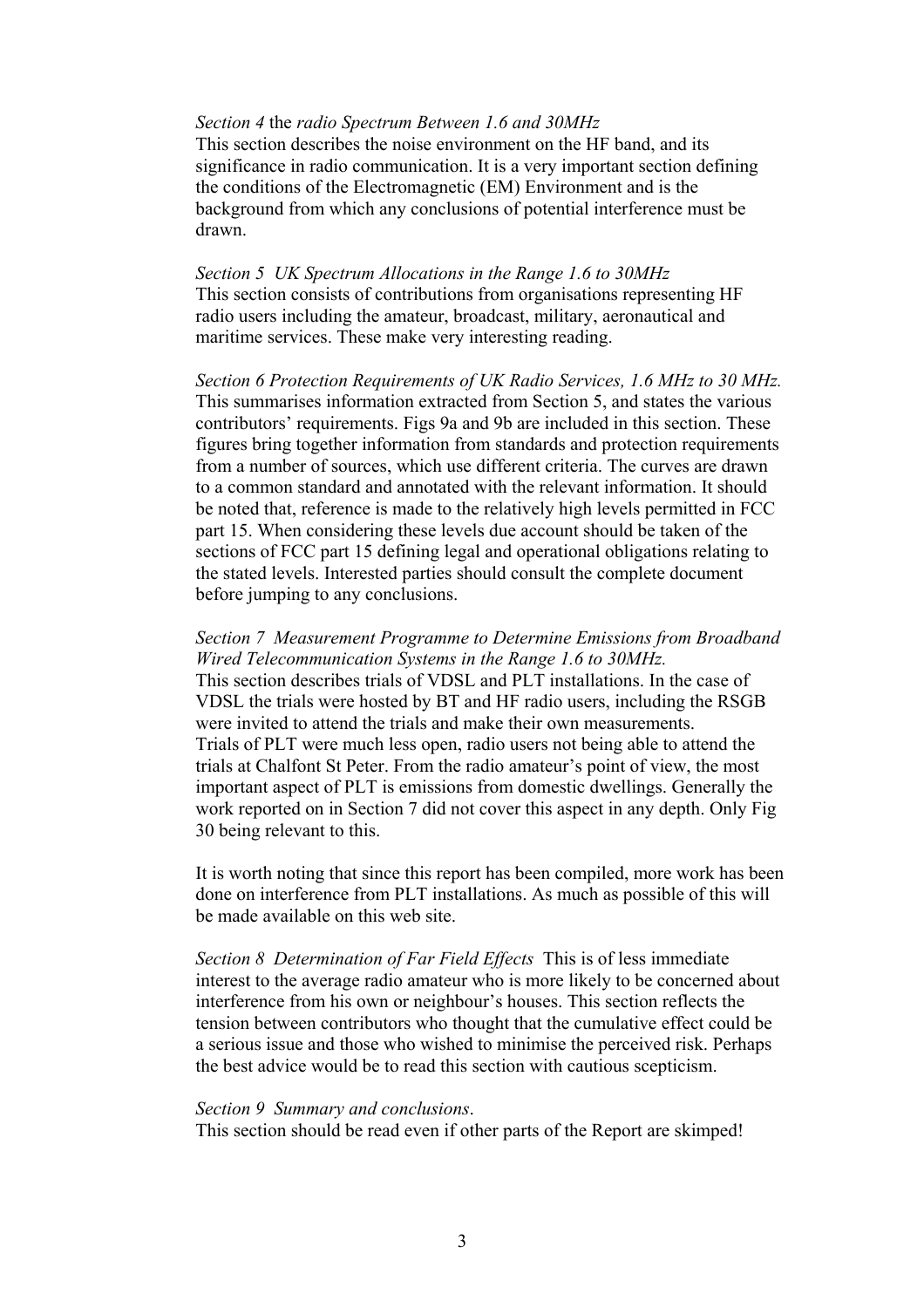#### *Section 4* the *radio Spectrum Between 1.6 and 30MHz*

This section describes the noise environment on the HF band, and its significance in radio communication. It is a very important section defining the conditions of the Electromagnetic (EM) Environment and is the background from which any conclusions of potential interference must be drawn.

*Section 5 UK Spectrum Allocations in the Range 1.6 to 30MHz* This section consists of contributions from organisations representing HF radio users including the amateur, broadcast, military, aeronautical and maritime services. These make very interesting reading.

*Section 6 Protection Requirements of UK Radio Services, 1.6 MHz to 30 MHz.* This summarises information extracted from Section 5, and states the various contributors' requirements. Figs 9a and 9b are included in this section. These figures bring together information from standards and protection requirements from a number of sources, which use different criteria. The curves are drawn to a common standard and annotated with the relevant information. It should be noted that, reference is made to the relatively high levels permitted in FCC part 15. When considering these levels due account should be taken of the sections of FCC part 15 defining legal and operational obligations relating to the stated levels. Interested parties should consult the complete document before jumping to any conclusions.

*Section 7 Measurement Programme to Determine Emissions from Broadband Wired Telecommunication Systems in the Range 1.6 to 30MHz.* This section describes trials of VDSL and PLT installations. In the case of VDSL the trials were hosted by BT and HF radio users, including the RSGB were invited to attend the trials and make their own measurements. Trials of PLT were much less open, radio users not being able to attend the trials at Chalfont St Peter. From the radio amateur's point of view, the most important aspect of PLT is emissions from domestic dwellings. Generally the work reported on in Section 7 did not cover this aspect in any depth. Only Fig 30 being relevant to this.

It is worth noting that since this report has been compiled, more work has been done on interference from PLT installations. As much as possible of this will be made available on this web site.

*Section 8 Determination of Far Field Effects* This is of less immediate interest to the average radio amateur who is more likely to be concerned about interference from his own or neighbour's houses. This section reflects the tension between contributors who thought that the cumulative effect could be a serious issue and those who wished to minimise the perceived risk. Perhaps the best advice would be to read this section with cautious scepticism.

#### *Section 9 Summary and conclusions*.

This section should be read even if other parts of the Report are skimped!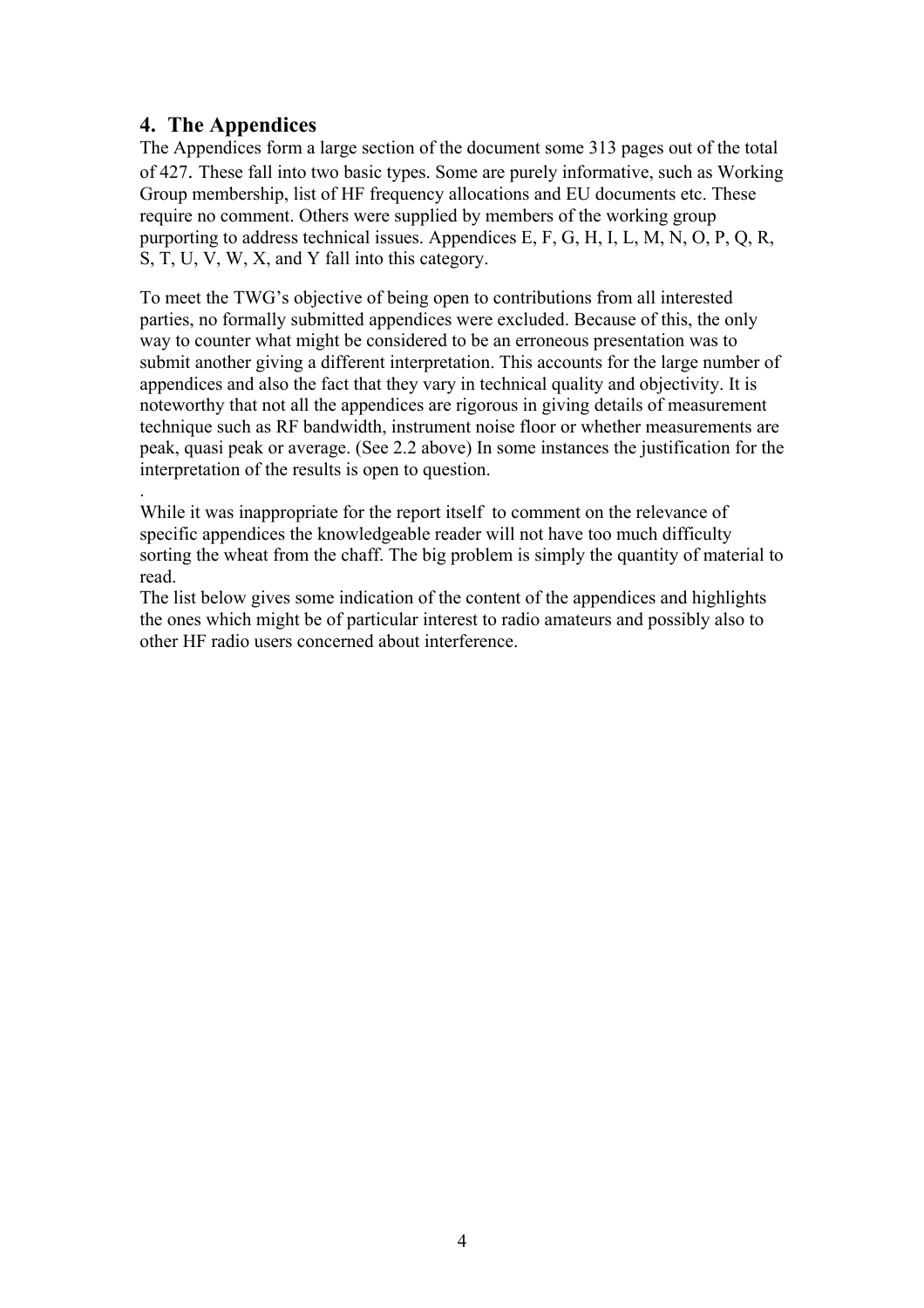# **4. The Appendices**

The Appendices form a large section of the document some 313 pages out of the total of 427. These fall into two basic types. Some are purely informative, such as Working Group membership, list of HF frequency allocations and EU documents etc. These require no comment. Others were supplied by members of the working group purporting to address technical issues. Appendices E, F, G, H, I, L, M, N, O, P, Q, R, S, T, U, V, W, X, and Y fall into this category.

To meet the TWG's objective of being open to contributions from all interested parties, no formally submitted appendices were excluded. Because of this, the only way to counter what might be considered to be an erroneous presentation was to submit another giving a different interpretation. This accounts for the large number of appendices and also the fact that they vary in technical quality and objectivity. It is noteworthy that not all the appendices are rigorous in giving details of measurement technique such as RF bandwidth, instrument noise floor or whether measurements are peak, quasi peak or average. (See 2.2 above) In some instances the justification for the interpretation of the results is open to question.

. While it was inappropriate for the report itself to comment on the relevance of specific appendices the knowledgeable reader will not have too much difficulty sorting the wheat from the chaff. The big problem is simply the quantity of material to read.

The list below gives some indication of the content of the appendices and highlights the ones which might be of particular interest to radio amateurs and possibly also to other HF radio users concerned about interference.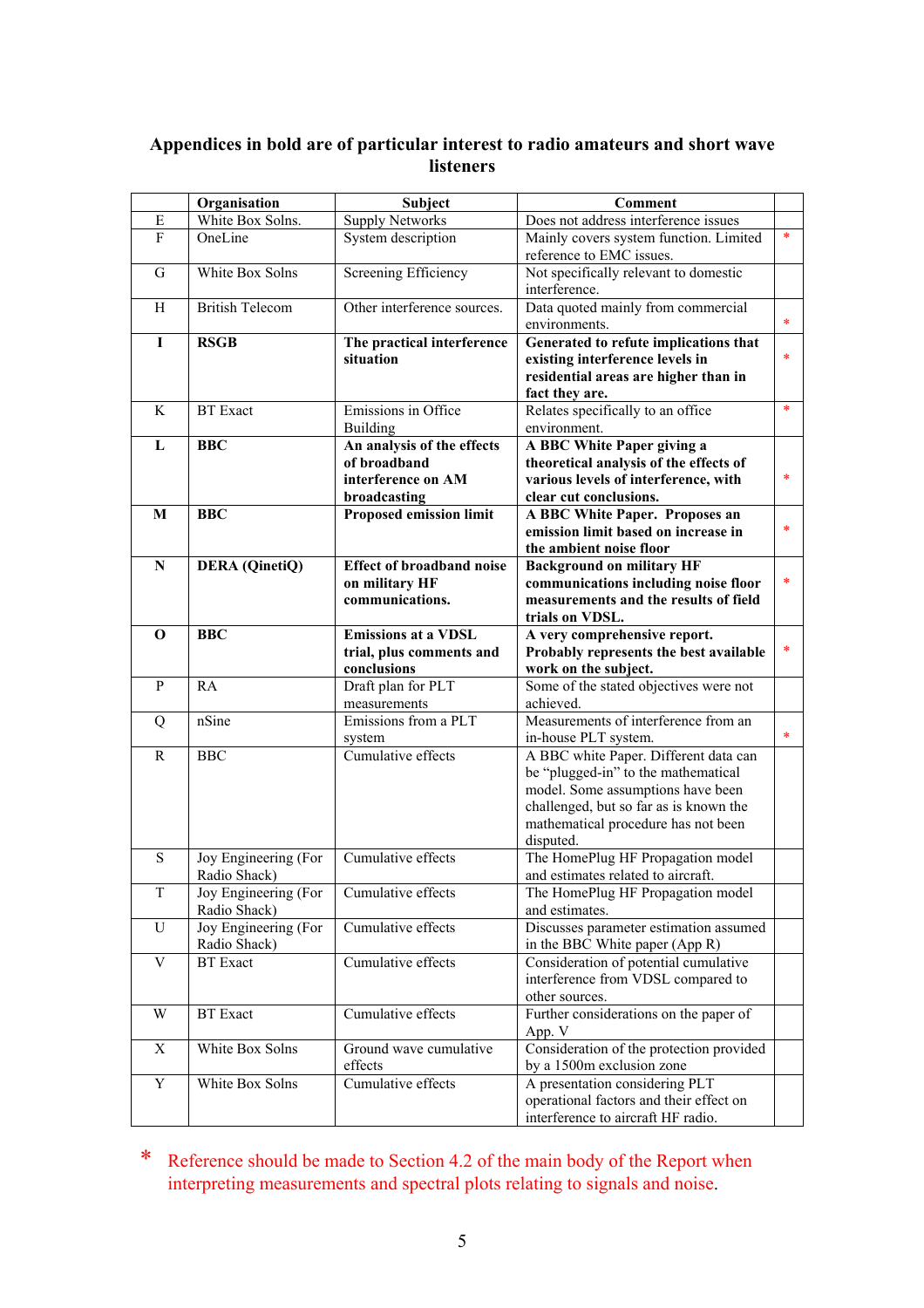### **Appendices in bold are of particular interest to radio amateurs and short wave listeners**

|              | Organisation           | <b>Subject</b>                    | <b>Comment</b>                                                            |        |
|--------------|------------------------|-----------------------------------|---------------------------------------------------------------------------|--------|
| Ε            | White Box Solns.       | <b>Supply Networks</b>            | Does not address interference issues                                      |        |
| $\mathbf{F}$ | OneLine                | System description                | Mainly covers system function. Limited<br>reference to EMC issues.        | *      |
| G            | White Box Solns        | Screening Efficiency              | Not specifically relevant to domestic<br>interference.                    |        |
| H            | <b>British Telecom</b> | Other interference sources.       | Data quoted mainly from commercial<br>environments.                       | $\ast$ |
| I            | <b>RSGB</b>            | The practical interference        | Generated to refute implications that                                     |        |
|              |                        | situation                         | existing interference levels in                                           | *      |
|              |                        |                                   | residential areas are higher than in                                      |        |
|              |                        |                                   | fact they are.                                                            |        |
| K            | <b>BT</b> Exact        | Emissions in Office               | Relates specifically to an office                                         | *      |
|              |                        | <b>Building</b>                   | environment.                                                              |        |
| L            | <b>BBC</b>             | An analysis of the effects        | A BBC White Paper giving a                                                |        |
|              |                        | of broadband                      | theoretical analysis of the effects of                                    |        |
|              |                        | interference on AM                | various levels of interference, with                                      | *      |
|              |                        | broadcasting                      | clear cut conclusions.                                                    |        |
| M            | <b>BBC</b>             | Proposed emission limit           | A BBC White Paper. Proposes an                                            |        |
|              |                        |                                   | emission limit based on increase in                                       | $\ast$ |
|              |                        |                                   | the ambient noise floor                                                   |        |
| $\mathbf N$  | <b>DERA</b> (QinetiQ)  | <b>Effect of broadband noise</b>  | <b>Background on military HF</b>                                          |        |
|              |                        | on military HF                    | communications including noise floor                                      | *      |
|              |                        | communications.                   | measurements and the results of field                                     |        |
|              |                        |                                   | trials on VDSL.                                                           |        |
| $\mathbf 0$  | <b>BBC</b>             | <b>Emissions at a VDSL</b>        | A very comprehensive report.                                              | *      |
|              |                        | trial, plus comments and          | Probably represents the best available                                    |        |
| $\mathbf{P}$ | RA                     | conclusions<br>Draft plan for PLT | work on the subject.<br>Some of the stated objectives were not            |        |
|              |                        | measurements                      | achieved.                                                                 |        |
| Q            | nSine                  | Emissions from a PLT              | Measurements of interference from an                                      |        |
|              |                        | system                            | in-house PLT system.                                                      | $\ast$ |
| $\mathbb{R}$ | <b>BBC</b>             | Cumulative effects                | A BBC white Paper. Different data can                                     |        |
|              |                        |                                   | be "plugged-in" to the mathematical                                       |        |
|              |                        |                                   | model. Some assumptions have been                                         |        |
|              |                        |                                   | challenged, but so far as is known the                                    |        |
|              |                        |                                   | mathematical procedure has not been                                       |        |
|              |                        |                                   | disputed.                                                                 |        |
| ${\bf S}$    | Joy Engineering (For   | Cumulative effects                | The HomePlug HF Propagation model                                         |        |
|              | Radio Shack)           |                                   | and estimates related to aircraft.                                        |        |
| Τ            | Joy Engineering (For   | Cumulative effects                | The HomePlug HF Propagation model                                         |        |
|              | Radio Shack)           |                                   | and estimates.                                                            |        |
| U            | Joy Engineering (For   | Cumulative effects                | Discusses parameter estimation assumed                                    |        |
|              | Radio Shack)           |                                   | in the BBC White paper (App R)                                            |        |
| V            | <b>BT</b> Exact        | Cumulative effects                | Consideration of potential cumulative                                     |        |
|              |                        |                                   | interference from VDSL compared to                                        |        |
|              |                        |                                   | other sources.                                                            |        |
| W            | <b>BT</b> Exact        | Cumulative effects                | Further considerations on the paper of                                    |        |
|              |                        |                                   | App. V                                                                    |        |
| X            | White Box Solns        | Ground wave cumulative            | Consideration of the protection provided                                  |        |
|              | White Box Solns        | effects<br>Cumulative effects     | by a 1500m exclusion zone                                                 |        |
| Y            |                        |                                   | A presentation considering PLT<br>operational factors and their effect on |        |
|              |                        |                                   | interference to aircraft HF radio.                                        |        |
|              |                        |                                   |                                                                           |        |

\* Reference should be made to Section 4.2 of the main body of the Report when interpreting measurements and spectral plots relating to signals and noise.